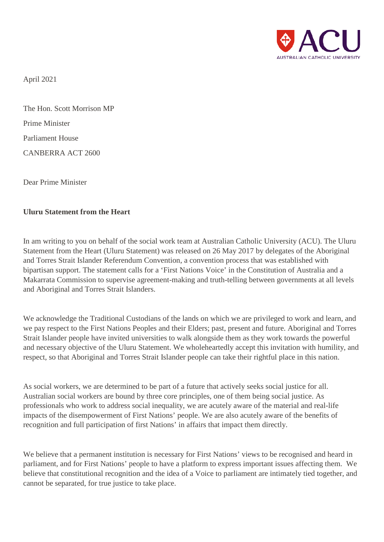

April 2021

The Hon. Scott Morrison MP Prime Minister Parliament House CANBERRA ACT 2600

Dear Prime Minister

## **Uluru Statement from the Heart**

In am writing to you on behalf of the social work team at Australian Catholic University (ACU). The Uluru Statement from the Heart (Uluru Statement) was released on 26 May 2017 by delegates of the Aboriginal and Torres Strait Islander Referendum Convention, a convention process that was established with bipartisan support. The statement calls for a 'First Nations Voice' in the Constitution of Australia and a Makarrata Commission to supervise agreement-making and truth-telling between governments at all levels and Aboriginal and Torres Strait Islanders.

We acknowledge the Traditional Custodians of the lands on which we are privileged to work and learn, and we pay respect to the First Nations Peoples and their Elders; past, present and future. Aboriginal and Torres Strait Islander people have invited universities to walk alongside them as they work towards the powerful and necessary objective of the Uluru Statement. We wholeheartedly accept this invitation with humility, and respect, so that Aboriginal and Torres Strait Islander people can take their rightful place in this nation.

As social workers, we are determined to be part of a future that actively seeks social justice for all. Australian social workers are bound by three core principles, one of them being social justice. As professionals who work to address social inequality, we are acutely aware of the material and real-life impacts of the disempowerment of First Nations' people. We are also acutely aware of the benefits of recognition and full participation of first Nations' in affairs that impact them directly.

We believe that a permanent institution is necessary for First Nations' views to be recognised and heard in parliament, and for First Nations' people to have a platform to express important issues affecting them. We believe that constitutional recognition and the idea of a Voice to parliament are intimately tied together, and cannot be separated, for true justice to take place.